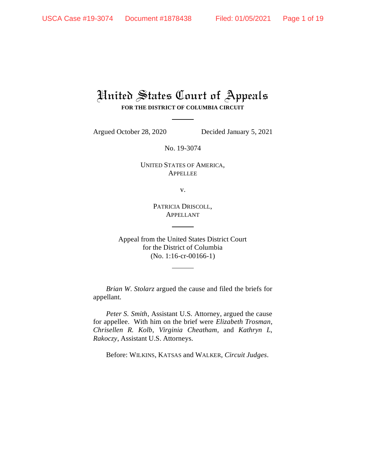# United States Court of Appeals **FOR THE DISTRICT OF COLUMBIA CIRCUIT**

Argued October 28, 2020 Decided January 5, 2021

No. 19-3074

UNITED STATES OF AMERICA, APPELLEE

v.

PATRICIA DRISCOLL, APPELLANT

Appeal from the United States District Court for the District of Columbia (No. 1:16-cr-00166-1)

*Brian W. Stolarz* argued the cause and filed the briefs for appellant.

*Peter S. Smith*, Assistant U.S. Attorney, argued the cause for appellee. With him on the brief were *Elizabeth Trosman*, *Chrisellen R. Kolb*, *Virginia Cheatham*, and *Kathryn L, Rakoczy*, Assistant U.S. Attorneys.

Before: WILKINS, KATSAS and WALKER, *Circuit Judges*.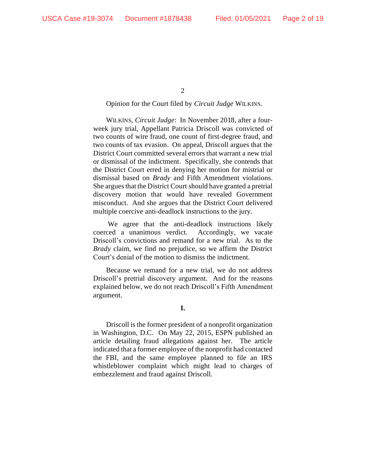$\mathcal{L}$ 

## Opinion for the Court filed by *Circuit Judge* WILKINS.

WILKINS, *Circuit Judge*: In November 2018, after a fourweek jury trial, Appellant Patricia Driscoll was convicted of two counts of wire fraud, one count of first-degree fraud, and two counts of tax evasion. On appeal, Driscoll argues that the District Court committed several errors that warrant a new trial or dismissal of the indictment. Specifically, she contends that the District Court erred in denying her motion for mistrial or dismissal based on *Brady* and Fifth Amendment violations. She argues that the District Court should have granted a pretrial discovery motion that would have revealed Government misconduct. And she argues that the District Court delivered multiple coercive anti-deadlock instructions to the jury.

We agree that the anti-deadlock instructions likely coerced a unanimous verdict. Accordingly, we vacate Driscoll's convictions and remand for a new trial. As to the *Brady* claim, we find no prejudice, so we affirm the District Court's denial of the motion to dismiss the indictment.

Because we remand for a new trial, we do not address Driscoll's pretrial discovery argument. And for the reasons explained below, we do not reach Driscoll's Fifth Amendment argument.

Driscoll is the former president of a nonprofit organization in Washington, D.C. On May 22, 2015, ESPN published an article detailing fraud allegations against her. The article indicated that a former employee of the nonprofit had contacted the FBI, and the same employee planned to file an IRS whistleblower complaint which might lead to charges of embezzlement and fraud against Driscoll.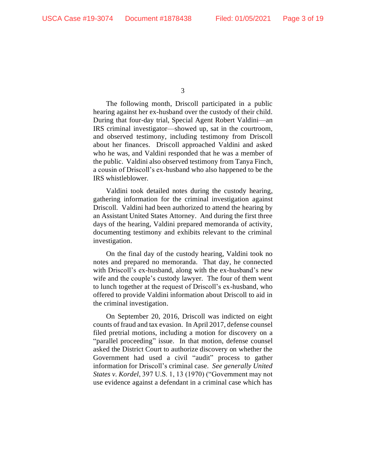The following month, Driscoll participated in a public hearing against her ex-husband over the custody of their child. During that four-day trial, Special Agent Robert Valdini—an IRS criminal investigator—showed up, sat in the courtroom, and observed testimony, including testimony from Driscoll about her finances. Driscoll approached Valdini and asked who he was, and Valdini responded that he was a member of the public. Valdini also observed testimony from Tanya Finch, a cousin of Driscoll's ex-husband who also happened to be the IRS whistleblower.

Valdini took detailed notes during the custody hearing, gathering information for the criminal investigation against Driscoll.Valdini had been authorized to attend the hearing by an Assistant United States Attorney. And during the first three days of the hearing, Valdini prepared memoranda of activity, documenting testimony and exhibits relevant to the criminal investigation.

On the final day of the custody hearing, Valdini took no notes and prepared no memoranda. That day, he connected with Driscoll's ex-husband, along with the ex-husband's new wife and the couple's custody lawyer. The four of them went to lunch together at the request of Driscoll's ex-husband, who offered to provide Valdini information about Driscoll to aid in the criminal investigation.

On September 20, 2016, Driscoll was indicted on eight counts of fraud and tax evasion. In April 2017, defense counsel filed pretrial motions, including a motion for discovery on a "parallel proceeding" issue. In that motion, defense counsel asked the District Court to authorize discovery on whether the Government had used a civil "audit" process to gather information for Driscoll's criminal case. *See generally United States v. Kordel*, 397 U.S. 1, 13 (1970) ("Government may not use evidence against a defendant in a criminal case which has

<sup>3</sup>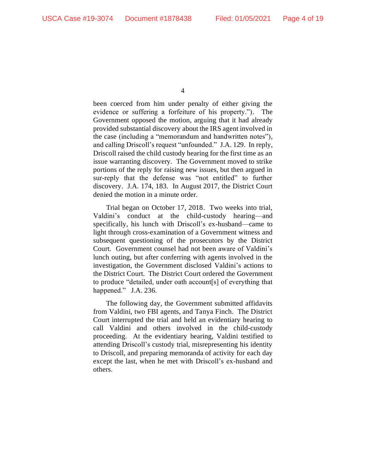been coerced from him under penalty of either giving the evidence or suffering a forfeiture of his property."). The Government opposed the motion, arguing that it had already provided substantial discovery about the IRS agent involved in the case (including a "memorandum and handwritten notes"), and calling Driscoll's request "unfounded." J.A. 129. In reply, Driscoll raised the child custody hearing for the first time as an issue warranting discovery. The Government moved to strike portions of the reply for raising new issues, but then argued in sur-reply that the defense was "not entitled" to further discovery. J.A. 174, 183. In August 2017, the District Court denied the motion in a minute order.

Trial began on October 17, 2018. Two weeks into trial, Valdini's conduct at the child-custody hearing—and specifically, his lunch with Driscoll's ex-husband—came to light through cross-examination of a Government witness and subsequent questioning of the prosecutors by the District Court. Government counsel had not been aware of Valdini's lunch outing, but after conferring with agents involved in the investigation, the Government disclosed Valdini's actions to the District Court. The District Court ordered the Government to produce "detailed, under oath account[s] of everything that happened." J.A. 236.

The following day, the Government submitted affidavits from Valdini, two FBI agents, and Tanya Finch.The District Court interrupted the trial and held an evidentiary hearing to call Valdini and others involved in the child-custody proceeding. At the evidentiary hearing, Valdini testified to attending Driscoll's custody trial, misrepresenting his identity to Driscoll, and preparing memoranda of activity for each day except the last, when he met with Driscoll's ex-husband and others.

<sup>4</sup>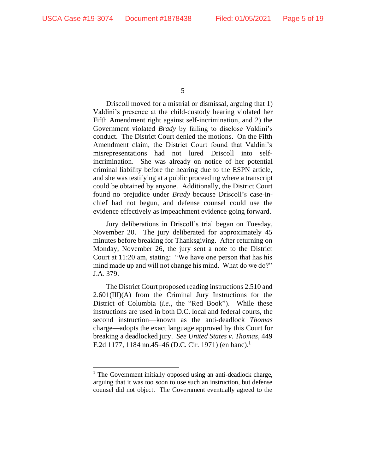Driscoll moved for a mistrial or dismissal, arguing that 1) Valdini's presence at the child-custody hearing violated her Fifth Amendment right against self-incrimination, and 2) the Government violated *Brady* by failing to disclose Valdini's conduct. The District Court denied the motions. On the Fifth Amendment claim, the District Court found that Valdini's misrepresentations had not lured Driscoll into selfincrimination. She was already on notice of her potential criminal liability before the hearing due to the ESPN article, and she was testifying at a public proceeding where a transcript could be obtained by anyone. Additionally, the District Court found no prejudice under *Brady* because Driscoll's case-inchief had not begun, and defense counsel could use the evidence effectively as impeachment evidence going forward.

Jury deliberations in Driscoll's trial began on Tuesday, November 20. The jury deliberated for approximately 45 minutes before breaking for Thanksgiving. After returning on Monday, November 26, the jury sent a note to the District Court at 11:20 am, stating: "We have one person that has his mind made up and will not change his mind. What do we do?" J.A. 379.

The District Court proposed reading instructions 2.510 and 2.601(III)(A) from the Criminal Jury Instructions for the District of Columbia (*i.e.*, the "Red Book"). While these instructions are used in both D.C. local and federal courts, the second instruction—known as the anti-deadlock *Thomas*  charge—adopts the exact language approved by this Court for breaking a deadlocked jury. *See United States v. Thomas*, 449 F.2d 1177, 1184 nn.45–46 (D.C. Cir. 1971) (en banc).<sup>1</sup>

<sup>5</sup>

<sup>&</sup>lt;sup>1</sup> The Government initially opposed using an anti-deadlock charge, arguing that it was too soon to use such an instruction, but defense counsel did not object. The Government eventually agreed to the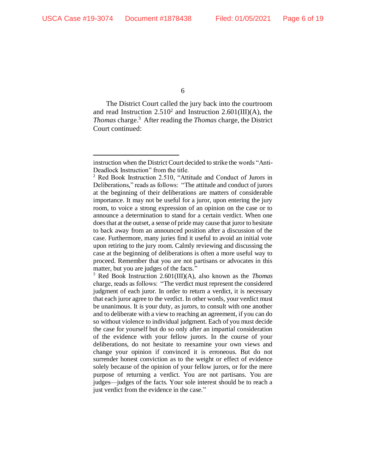The District Court called the jury back into the courtroom and read Instruction  $2.510^2$  and Instruction  $2.601(III)(A)$ , the *Thomas* charge.<sup>3</sup> After reading the *Thomas* charge, the District Court continued:

<sup>3</sup> Red Book Instruction 2.601(III)(A), also known as the *Thomas* charge, reads as follows: "The verdict must represent the considered judgment of each juror. In order to return a verdict, it is necessary that each juror agree to the verdict. In other words, your verdict must be unanimous. It is your duty, as jurors, to consult with one another and to deliberate with a view to reaching an agreement, if you can do so without violence to individual judgment. Each of you must decide the case for yourself but do so only after an impartial consideration of the evidence with your fellow jurors. In the course of your deliberations, do not hesitate to reexamine your own views and change your opinion if convinced it is erroneous. But do not surrender honest conviction as to the weight or effect of evidence solely because of the opinion of your fellow jurors, or for the mere purpose of returning a verdict. You are not partisans. You are judges—judges of the facts. Your sole interest should be to reach a just verdict from the evidence in the case."

instruction when the District Court decided to strike the words "Anti-Deadlock Instruction" from the title.

 $2$  Red Book Instruction 2.510, "Attitude and Conduct of Jurors in Deliberations," reads as follows: "The attitude and conduct of jurors at the beginning of their deliberations are matters of considerable importance. It may not be useful for a juror, upon entering the jury room, to voice a strong expression of an opinion on the case or to announce a determination to stand for a certain verdict. When one does that at the outset, a sense of pride may cause that juror to hesitate to back away from an announced position after a discussion of the case. Furthermore, many juries find it useful to avoid an initial vote upon retiring to the jury room. Calmly reviewing and discussing the case at the beginning of deliberations is often a more useful way to proceed. Remember that you are not partisans or advocates in this matter, but you are judges of the facts."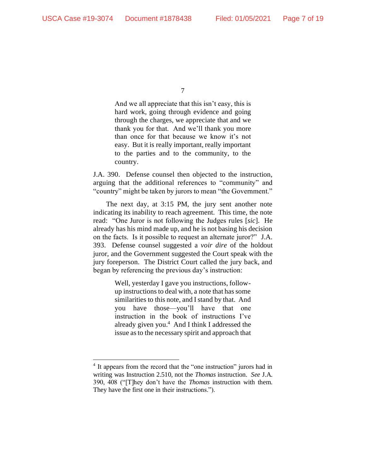And we all appreciate that this isn't easy, this is hard work, going through evidence and going through the charges, we appreciate that and we thank you for that. And we'll thank you more than once for that because we know it's not easy. But it is really important, really important to the parties and to the community, to the country.

J.A. 390. Defense counsel then objected to the instruction, arguing that the additional references to "community" and "country" might be taken by jurors to mean "the Government."

The next day, at 3:15 PM, the jury sent another note indicating its inability to reach agreement. This time, the note read: "One Juror is not following the Judges rules [*sic*]. He already has his mind made up, and he is not basing his decision on the facts. Is it possible to request an alternate juror?" J.A. 393. Defense counsel suggested a *voir dire* of the holdout juror, and the Government suggested the Court speak with the jury foreperson. The District Court called the jury back, and began by referencing the previous day's instruction:

> Well, yesterday I gave you instructions, followup instructions to deal with, a note that has some similarities to this note, and I stand by that. And you have those—you'll have that one instruction in the book of instructions I've already given you.<sup>4</sup> And I think I addressed the issue as to the necessary spirit and approach that

<sup>7</sup>

<sup>&</sup>lt;sup>4</sup> It appears from the record that the "one instruction" jurors had in writing was Instruction 2.510, not the *Thomas* instruction. *See* J.A. 390, 408 ("[T]hey don't have the *Thomas* instruction with them. They have the first one in their instructions.").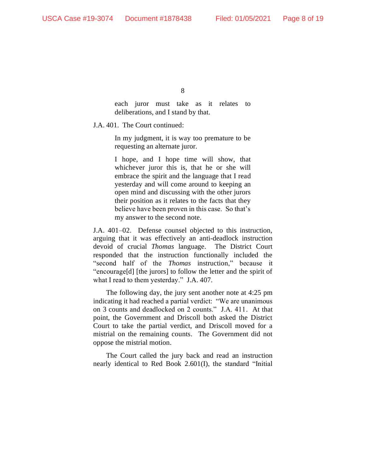each juror must take as it relates to deliberations, and I stand by that.

J.A. 401. The Court continued:

In my judgment, it is way too premature to be requesting an alternate juror.

I hope, and I hope time will show, that whichever juror this is, that he or she will embrace the spirit and the language that I read yesterday and will come around to keeping an open mind and discussing with the other jurors their position as it relates to the facts that they believe have been proven in this case. So that's my answer to the second note.

J.A. 401–02. Defense counsel objected to this instruction, arguing that it was effectively an anti-deadlock instruction devoid of crucial *Thomas* language. The District Court responded that the instruction functionally included the "second half of the *Thomas* instruction," because it "encourage[d] [the jurors] to follow the letter and the spirit of what I read to them yesterday." J.A. 407.

The following day, the jury sent another note at 4:25 pm indicating it had reached a partial verdict: "We are unanimous on 3 counts and deadlocked on 2 counts." J.A. 411. At that point, the Government and Driscoll both asked the District Court to take the partial verdict, and Driscoll moved for a mistrial on the remaining counts. The Government did not oppose the mistrial motion.

The Court called the jury back and read an instruction nearly identical to Red Book 2.601(I), the standard "Initial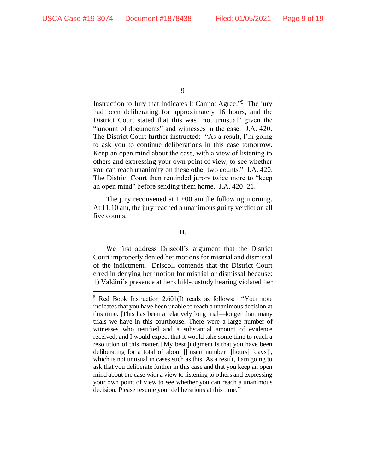Instruction to Jury that Indicates It Cannot Agree."<sup>5</sup> The jury had been deliberating for approximately 16 hours, and the District Court stated that this was "not unusual" given the "amount of documents" and witnesses in the case. J.A. 420. The District Court further instructed: "As a result, I'm going to ask you to continue deliberations in this case tomorrow. Keep an open mind about the case, with a view of listening to others and expressing your own point of view, to see whether you can reach unanimity on these other two counts." J.A. 420. The District Court then reminded jurors twice more to "keep an open mind" before sending them home. J.A. 420–21.

The jury reconvened at 10:00 am the following morning. At 11:10 am, the jury reached a unanimous guilty verdict on all five counts.

#### **II.**

We first address Driscoll's argument that the District Court improperly denied her motions for mistrial and dismissal of the indictment. Driscoll contends that the District Court erred in denying her motion for mistrial or dismissal because: 1) Valdini's presence at her child-custody hearing violated her

<sup>9</sup>

<sup>5</sup> Red Book Instruction 2.601(I) reads as follows: "Your note indicates that you have been unable to reach a unanimous decision at this time. [This has been a relatively long trial—longer than many trials we have in this courthouse. There were a large number of witnesses who testified and a substantial amount of evidence received, and I would expect that it would take some time to reach a resolution of this matter.] My best judgment is that you have been deliberating for a total of about [[insert number] [hours] [days]], which is not unusual in cases such as this. As a result, I am going to ask that you deliberate further in this case and that you keep an open mind about the case with a view to listening to others and expressing your own point of view to see whether you can reach a unanimous decision. Please resume your deliberations at this time."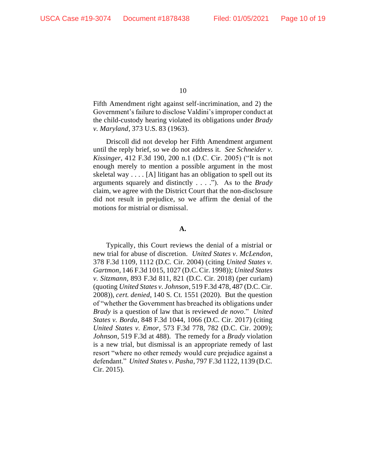Fifth Amendment right against self-incrimination, and 2) the Government's failure to disclose Valdini's improper conduct at the child-custody hearing violated its obligations under *Brady v. Maryland*, 373 U.S. 83 (1963).

Driscoll did not develop her Fifth Amendment argument until the reply brief, so we do not address it. *See Schneider v. Kissinger*, 412 F.3d 190, 200 n.1 (D.C. Cir. 2005) ("It is not enough merely to mention a possible argument in the most skeletal way  $\dots$  [A] litigant has an obligation to spell out its arguments squarely and distinctly . . . ."). As to the *Brady* claim, we agree with the District Court that the non-disclosure did not result in prejudice, so we affirm the denial of the motions for mistrial or dismissal.

#### **A.**

Typically, this Court reviews the denial of a mistrial or new trial for abuse of discretion. *United States v. McLendon*, 378 F.3d 1109, 1112 (D.C. Cir. 2004) (citing *United States v. Gartmon*, 146 F.3d 1015, 1027 (D.C. Cir. 1998)); *United States v. Sitzmann*, 893 F.3d 811, 821 (D.C. Cir. 2018) (per curiam) (quoting *United States v. Johnson*, 519 F.3d 478, 487 (D.C. Cir. 2008)), *cert. denied*, 140 S. Ct. 1551 (2020). But the question of "whether the Government has breached its obligations under *Brady* is a question of law that is reviewed *de novo*." *United States v. Borda*, 848 F.3d 1044, 1066 (D.C. Cir. 2017) (citing *United States v. Emor*, 573 F.3d 778, 782 (D.C. Cir. 2009); *Johnson*, 519 F.3d at 488). The remedy for a *Brady* violation is a new trial, but dismissal is an appropriate remedy of last resort "where no other remedy would cure prejudice against a defendant." *United States v. Pasha*, 797 F.3d 1122, 1139 (D.C. Cir. 2015).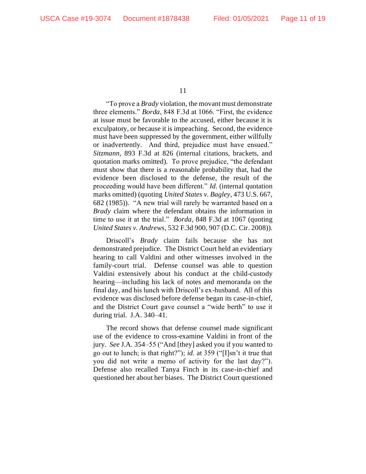"To prove a *Brady* violation, the movant must demonstrate three elements." *Borda*, 848 F.3d at 1066. "First, the evidence at issue must be favorable to the accused, either because it is exculpatory, or because it is impeaching. Second, the evidence must have been suppressed by the government, either willfully or inadvertently. And third, prejudice must have ensued." *Sitzmann,* 893 F.3d at 826 (internal citations, brackets, and quotation marks omitted). To prove prejudice, "the defendant must show that there is a reasonable probability that, had the evidence been disclosed to the defense, the result of the proceeding would have been different." *Id.* (internal quotation marks omitted) (quoting *United States v. Bagley*, 473 U.S. 667, 682 (1985)). "A new trial will rarely be warranted based on a *Brady* claim where the defendant obtains the information in time to use it at the trial." *Borda*, 848 F.3d at 1067 (quoting *United States v. Andrews*, 532 F.3d 900, 907 (D.C. Cir. 2008)).

Driscoll's *Brady* claim fails because she has not demonstrated prejudice. The District Court held an evidentiary hearing to call Valdini and other witnesses involved in the family-court trial. Defense counsel was able to question Valdini extensively about his conduct at the child-custody hearing—including his lack of notes and memoranda on the final day, and his lunch with Driscoll's ex-husband. All of this evidence was disclosed before defense began its case-in-chief, and the District Court gave counsel a "wide berth" to use it during trial. J.A. 340–41.

The record shows that defense counsel made significant use of the evidence to cross-examine Valdini in front of the jury. *See* J.A. 354–55 ("And [they] asked you if you wanted to go out to lunch; is that right?"); *id.* at 359 ("[I]sn't it true that you did not write a memo of activity for the last day?"). Defense also recalled Tanya Finch in its case-in-chief and questioned her about her biases. The District Court questioned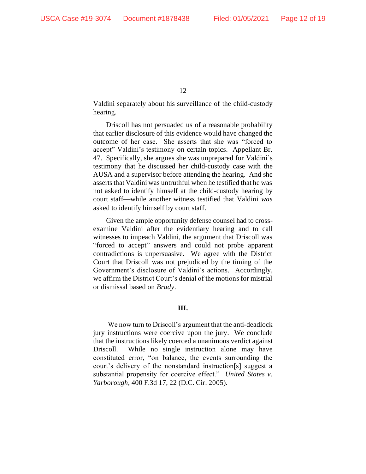Valdini separately about his surveillance of the child-custody hearing.

Driscoll has not persuaded us of a reasonable probability that earlier disclosure of this evidence would have changed the outcome of her case. She asserts that she was "forced to accept" Valdini's testimony on certain topics. Appellant Br. 47. Specifically, she argues she was unprepared for Valdini's testimony that he discussed her child-custody case with the AUSA and a supervisor before attending the hearing. And she asserts that Valdini was untruthful when he testified that he was not asked to identify himself at the child-custody hearing by court staff—while another witness testified that Valdini *was* asked to identify himself by court staff.

Given the ample opportunity defense counsel had to crossexamine Valdini after the evidentiary hearing and to call witnesses to impeach Valdini, the argument that Driscoll was "forced to accept" answers and could not probe apparent contradictions is unpersuasive. We agree with the District Court that Driscoll was not prejudiced by the timing of the Government's disclosure of Valdini's actions. Accordingly, we affirm the District Court's denial of the motions for mistrial or dismissal based on *Brady*.

## **III.**

We now turn to Driscoll's argument that the anti-deadlock jury instructions were coercive upon the jury. We conclude that the instructions likely coerced a unanimous verdict against Driscoll. While no single instruction alone may have constituted error, "on balance, the events surrounding the court's delivery of the nonstandard instruction[s] suggest a substantial propensity for coercive effect." *United States v. Yarborough*, 400 F.3d 17, 22 (D.C. Cir. 2005).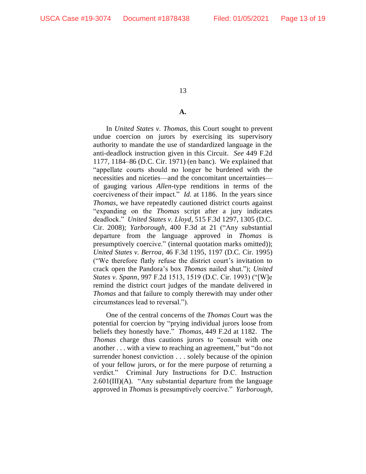### **A.**

In *United States v. Thomas*, this Court sought to prevent undue coercion on jurors by exercising its supervisory authority to mandate the use of standardized language in the anti-deadlock instruction given in this Circuit. *See* 449 F.2d 1177, 1184–86 (D.C. Cir. 1971) (en banc). We explained that "appellate courts should no longer be burdened with the necessities and niceties—and the concomitant uncertainties of gauging various *Allen*-type renditions in terms of the coerciveness of their impact." *Id.* at 1186. In the years since *Thomas*, we have repeatedly cautioned district courts against "expanding on the *Thomas* script after a jury indicates deadlock." *United States v. Lloyd*, 515 F.3d 1297, 1305 (D.C. Cir. 2008); *Yarborough*, 400 F.3d at 21 ("Any substantial departure from the language approved in *Thomas* is presumptively coercive." (internal quotation marks omitted)); *United States v. Berroa*, 46 F.3d 1195, 1197 (D.C. Cir. 1995) ("We therefore flatly refuse the district court's invitation to crack open the Pandora's box *Thomas* nailed shut."); *United States v. Spann*, 997 F.2d 1513, 1519 (D.C. Cir. 1993) ("[W]e remind the district court judges of the mandate delivered in *Thomas* and that failure to comply therewith may under other circumstances lead to reversal.").

One of the central concerns of the *Thomas* Court was the potential for coercion by "prying individual jurors loose from beliefs they honestly have." *Thomas*, 449 F.2d at 1182. The *Thomas* charge thus cautions jurors to "consult with one another . . . with a view to reaching an agreement," but "do not surrender honest conviction . . . solely because of the opinion of your fellow jurors, or for the mere purpose of returning a verdict." Criminal Jury Instructions for D.C. Instruction  $2.601(III)(A)$ . "Any substantial departure from the language approved in *Thomas* is presumptively coercive." *Yarborough*,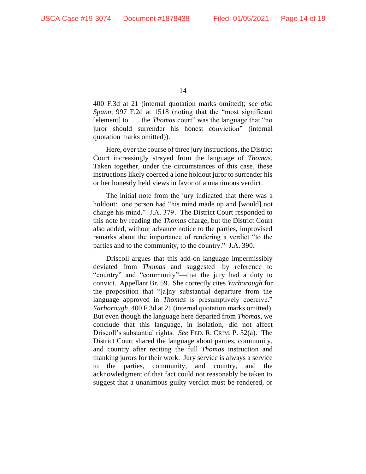400 F.3d at 21 (internal quotation marks omitted); *see also Spann*, 997 F.2d at 1518 (noting that the "most significant [element] to . . . the *Thomas* court" was the language that "no juror should surrender his honest conviction" (internal quotation marks omitted)).

Here, over the course of three jury instructions, the District Court increasingly strayed from the language of *Thomas*. Taken together, under the circumstances of this case, these instructions likely coerced a lone holdout juror to surrender his or her honestly held views in favor of a unanimous verdict.

The initial note from the jury indicated that there was a holdout: one person had "his mind made up and [would] not change his mind." J.A. 379.The District Court responded to this note by reading the *Thomas* charge, but the District Court also added, without advance notice to the parties, improvised remarks about the importance of rendering a verdict "to the parties and to the community, to the country." J.A. 390.

Driscoll argues that this add-on language impermissibly deviated from *Thomas* and suggested—by reference to "country" and "community"—that the jury had a duty to convict. Appellant Br. 59. She correctly cites *Yarborough* for the proposition that "[a]ny substantial departure from the language approved in *Thomas* is presumptively coercive." *Yarborough*, 400 F.3d at 21 (internal quotation marks omitted). But even though the language here departed from *Thomas*, we conclude that this language, in isolation, did not affect Driscoll's substantial rights. *See* FED. R. CRIM. P. 52(a). The District Court shared the language about parties, community, and country after reciting the full *Thomas* instruction and thanking jurors for their work. Jury service is always a service to the parties, community, and country, and the acknowledgment of that fact could not reasonably be taken to suggest that a unanimous guilty verdict must be rendered, or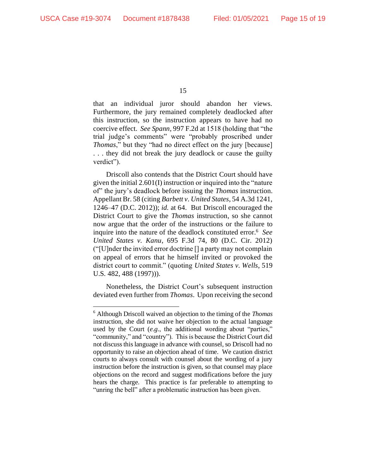that an individual juror should abandon her views. Furthermore, the jury remained completely deadlocked after this instruction, so the instruction appears to have had no coercive effect. *See Spann*, 997 F.2d at 1518 (holding that "the trial judge's comments" were "probably proscribed under *Thomas*," but they "had no direct effect on the jury [because] . . . they did not break the jury deadlock or cause the guilty verdict").

Driscoll also contends that the District Court should have given the initial 2.601(I) instruction or inquired into the "nature of" the jury's deadlock before issuing the *Thomas* instruction. Appellant Br. 58 (citing *Barbett v. United States*, 54 A.3d 1241, 1246–47 (D.C. 2012)); *id.* at 64. But Driscoll encouraged the District Court to give the *Thomas* instruction, so she cannot now argue that the order of the instructions or the failure to inquire into the nature of the deadlock constituted error.<sup>6</sup> *See United States v. Kanu*, 695 F.3d 74, 80 (D.C. Cir. 2012) ("[U]nder the invited error doctrine [] a party may not complain on appeal of errors that he himself invited or provoked the district court to commit." (quoting *United States v. Wells*, 519 U.S. 482, 488 (1997))).

Nonetheless, the District Court's subsequent instruction deviated even further from *Thomas*. Upon receiving the second

<sup>6</sup> Although Driscoll waived an objection to the timing of the *Thomas* instruction, she did not waive her objection to the actual language used by the Court (*e.g.*, the additional wording about "parties," "community," and "country"). This is because the District Court did not discuss this language in advance with counsel, so Driscoll had no opportunity to raise an objection ahead of time. We caution district courts to always consult with counsel about the wording of a jury instruction before the instruction is given, so that counsel may place objections on the record and suggest modifications before the jury hears the charge. This practice is far preferable to attempting to "unring the bell" after a problematic instruction has been given.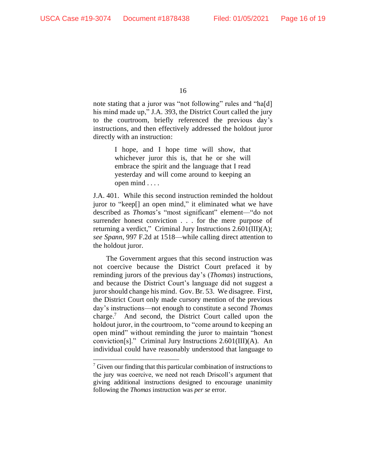note stating that a juror was "not following" rules and "ha[d] his mind made up," J.A. 393, the District Court called the jury to the courtroom, briefly referenced the previous day's instructions, and then effectively addressed the holdout juror directly with an instruction:

> I hope, and I hope time will show, that whichever juror this is, that he or she will embrace the spirit and the language that I read yesterday and will come around to keeping an open mind . . . .

J.A. 401. While this second instruction reminded the holdout juror to "keep[] an open mind," it eliminated what we have described as *Thomas*'s "most significant" element—"do not surrender honest conviction . . . for the mere purpose of returning a verdict," Criminal Jury Instructions 2.601(III)(A); *see Spann*, 997 F.2d at 1518—while calling direct attention to the holdout juror.

The Government argues that this second instruction was not coercive because the District Court prefaced it by reminding jurors of the previous day's (*Thomas*) instructions, and because the District Court's language did not suggest a juror should change his mind. Gov. Br. 53. We disagree. First, the District Court only made cursory mention of the previous day's instructions—not enough to constitute a second *Thomas*  charge. 7 And second, the District Court called upon the holdout juror, in the courtroom, to "come around to keeping an open mind" without reminding the juror to maintain "honest conviction[s]." Criminal Jury Instructions 2.601(III)(A). An individual could have reasonably understood that language to

 $\frac{7}{7}$  Given our finding that this particular combination of instructions to the jury was coercive, we need not reach Driscoll's argument that giving additional instructions designed to encourage unanimity following the *Thomas* instruction was *per se* error.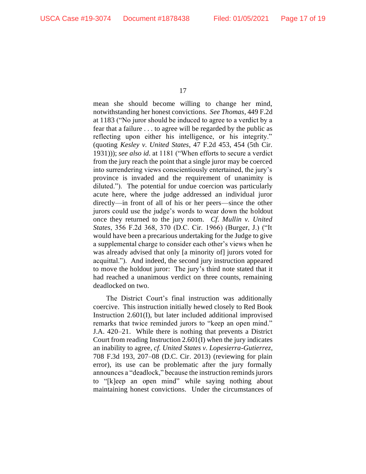mean she should become willing to change her mind, notwithstanding her honest convictions. *See Thomas*, 449 F.2d at 1183 ("No juror should be induced to agree to a verdict by a fear that a failure . . . to agree will be regarded by the public as reflecting upon either his intelligence, or his integrity." (quoting *Kesley v. United States*, 47 F.2d 453, 454 (5th Cir. 1931))); *see also id.* at 1181 ("When efforts to secure a verdict from the jury reach the point that a single juror may be coerced into surrendering views conscientiously entertained, the jury's province is invaded and the requirement of unanimity is diluted."). The potential for undue coercion was particularly acute here, where the judge addressed an individual juror directly—in front of all of his or her peers—since the other jurors could use the judge's words to wear down the holdout once they returned to the jury room. *Cf. Mullin v. United States*, 356 F.2d 368, 370 (D.C. Cir. 1966) (Burger, J.) ("It would have been a precarious undertaking for the Judge to give a supplemental charge to consider each other's views when he was already advised that only [a minority of] jurors voted for acquittal."). And indeed, the second jury instruction appeared to move the holdout juror: The jury's third note stated that it had reached a unanimous verdict on three counts, remaining deadlocked on two.

The District Court's final instruction was additionally coercive. This instruction initially hewed closely to Red Book Instruction 2.601(I), but later included additional improvised remarks that twice reminded jurors to "keep an open mind." J.A. 420–21.While there is nothing that prevents a District Court from reading Instruction 2.601(I) when the jury indicates an inability to agree, *cf. United States v. Lopesierra-Gutierrez*, 708 F.3d 193, 207–08 (D.C. Cir. 2013) (reviewing for plain error), its use can be problematic after the jury formally announces a "deadlock," because the instruction reminds jurors to "[k]eep an open mind" while saying nothing about maintaining honest convictions. Under the circumstances of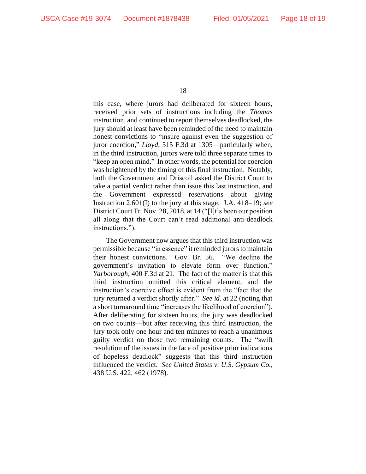this case, where jurors had deliberated for sixteen hours, received prior sets of instructions including the *Thomas* instruction, and continued to report themselves deadlocked, the jury should at least have been reminded of the need to maintain honest convictions to "insure against even the suggestion of juror coercion," *Lloyd*, 515 F.3d at 1305—particularly when, in the third instruction, jurors were told three separate times to "keep an open mind." In other words, the potential for coercion was heightened by the timing of this final instruction. Notably, both the Government and Driscoll asked the District Court to take a partial verdict rather than issue this last instruction, and the Government expressed reservations about giving Instruction 2.601(I) to the jury at this stage. J.A. 418–19; *see*  District Court Tr. Nov. 28, 2018, at 14 ("[I]t's been our position all along that the Court can't read additional anti-deadlock instructions.").

The Government now argues that this third instruction was permissible because "in essence" it reminded jurors to maintain their honest convictions. Gov. Br. 56. "We decline the government's invitation to elevate form over function." *Yarborough*, 400 F.3d at 21. The fact of the matter is that this third instruction omitted this critical element, and the instruction's coercive effect is evident from the "fact that the jury returned a verdict shortly after." *See id.* at 22 (noting that a short turnaround time "increases the likelihood of coercion"). After deliberating for sixteen hours, the jury was deadlocked on two counts—but after receiving this third instruction, the jury took only one hour and ten minutes to reach a unanimous guilty verdict on those two remaining counts. The "swift resolution of the issues in the face of positive prior indications of hopeless deadlock" suggests that this third instruction influenced the verdict. *See United States v. U.S. Gypsum Co.*, 438 U.S. 422, 462 (1978).